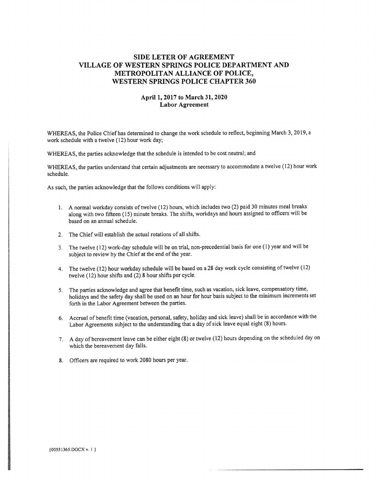## SIDE LETER OF AGREEMENT VILLAGE OF WESTERN SPRINGS POLICE DEPARTMENT AND METROPOLITAN ALLIANCE OF POLICE, WESTERN SPRINGS POLICE CHAPTER 360

## April 1,2017 to March 31,2020 Labor Agreement

WHEREAS, the Police Chief has determined to change the work schedule to reflect, beginning March 3, 2019, a work schedule with a twelve (12) hour work day;

WHEREAS, the parties acknowledge that the schedule is intended to be cost neutral; and

WHEREAS, the parties understand that certain adjustments are necessary to accommodate a twelve (12) hour work schedule.

As such, the parties acknowledge that the follows conditions will apply:

- 1. A normal workday consists of twelve (12) hours, which includes two (2) paid 30 minutes meal breaks along with two fifteen (15) minute breaks. The shifts, workdays and hours assigned to officers will be based on an annual schedule.
- 2. The Chief will establish the actual rotations of all shifts.
- 3. The twelve (12) work-day schedule will be on trial, non-precedential basis for one (1) year and will be subject to review by the Chief at the end of the year.
- 4. The twelve (12) hour workday schedule will be based on a 28 day work cycle consisting of twelve (12) twelve (12) hour shifts and (2) 8 hour shifts per cycle.
- 5. The parties acknowledge and agree that benefit time, such as vacation, sick leave, compensatory time, holidays and the safety day shall be used on an hour for hour basis subject to the minimum increments set forth in the Labor Agreement between the parties.
- 6. Accrual of benefit time (vacation, personal, safety, holiday and sick leave) shall be in accordance with the Labor Agreements subject to the understanding that a day of sick leave equal eight (8) hours.
- 7. A day of bereavement leave can be either eight (8) or twelve (12) hours depending on the scheduled day on which the bereavement day falls.
- 8. Officers are required to work 2080 hours per year.